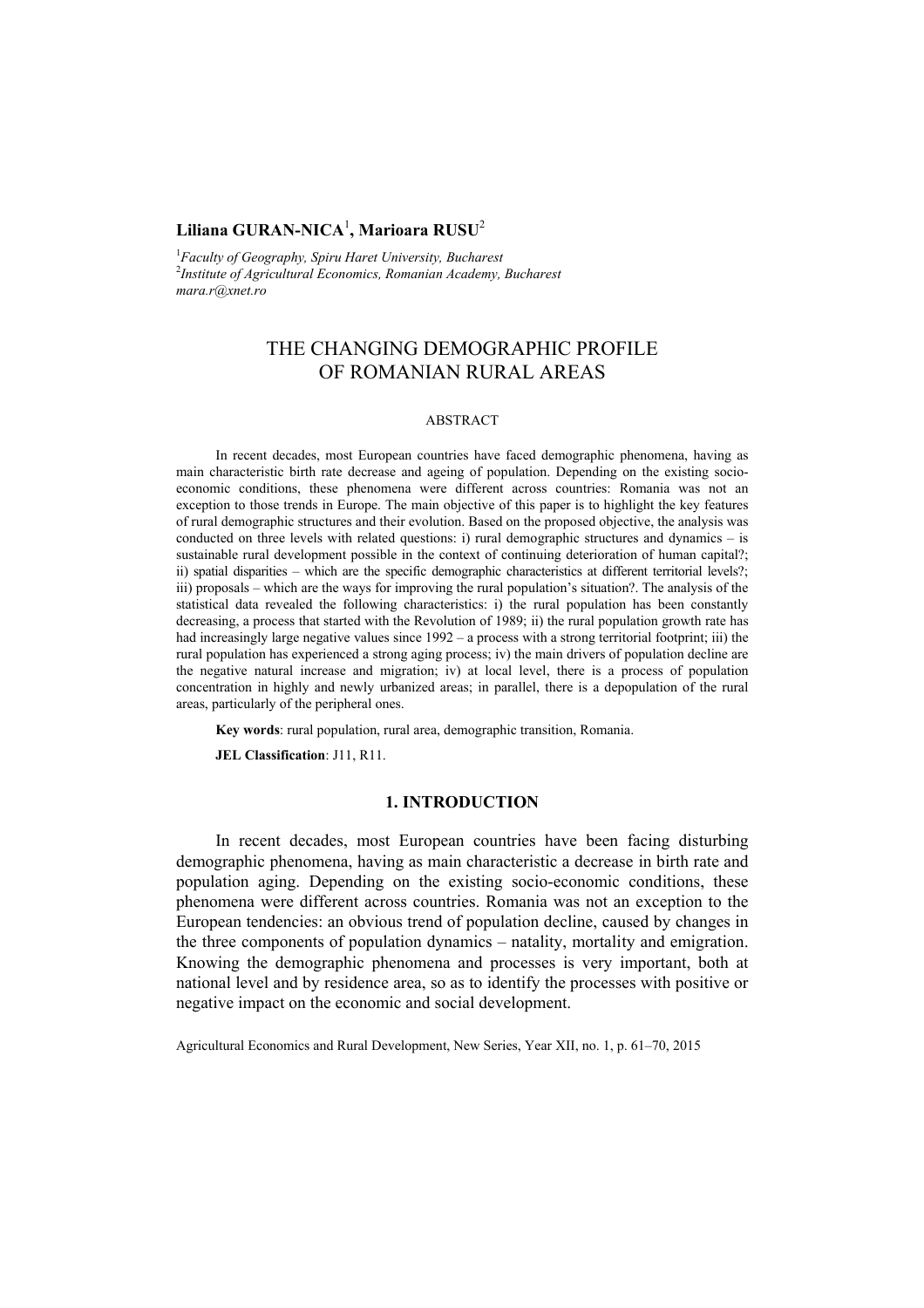## **Liliana GURAN-NICA**<sup>1</sup> **, Marioara RUSU**<sup>2</sup>

1 *Faculty of Geography, Spiru Haret University, Bucharest* 2 *Institute of Agricultural Economics, Romanian Academy, Bucharest mara.r@xnet.ro* 

# THE CHANGING DEMOGRAPHIC PROFILE OF ROMANIAN RURAL AREAS

#### ABSTRACT

In recent decades, most European countries have faced demographic phenomena, having as main characteristic birth rate decrease and ageing of population. Depending on the existing socioeconomic conditions, these phenomena were different across countries: Romania was not an exception to those trends in Europe. The main objective of this paper is to highlight the key features of rural demographic structures and their evolution. Based on the proposed objective, the analysis was conducted on three levels with related questions: i) rural demographic structures and dynamics – is sustainable rural development possible in the context of continuing deterioration of human capital?; ii) spatial disparities – which are the specific demographic characteristics at different territorial levels?; iii) proposals – which are the ways for improving the rural population's situation?. The analysis of the statistical data revealed the following characteristics: i) the rural population has been constantly decreasing, a process that started with the Revolution of 1989; ii) the rural population growth rate has had increasingly large negative values since  $1992 - a$  process with a strong territorial footprint; iii) the rural population has experienced a strong aging process; iv) the main drivers of population decline are the negative natural increase and migration; iv) at local level, there is a process of population concentration in highly and newly urbanized areas; in parallel, there is a depopulation of the rural areas, particularly of the peripheral ones.

**Key words**: rural population, rural area, demographic transition, Romania.

**JEL Classification**: J11, R11.

#### **1. INTRODUCTION**

In recent decades, most European countries have been facing disturbing demographic phenomena, having as main characteristic a decrease in birth rate and population aging. Depending on the existing socio-economic conditions, these phenomena were different across countries. Romania was not an exception to the European tendencies: an obvious trend of population decline, caused by changes in the three components of population dynamics – natality, mortality and emigration. Knowing the demographic phenomena and processes is very important, both at national level and by residence area, so as to identify the processes with positive or negative impact on the economic and social development.

Agricultural Economics and Rural Development, New Series, Year XII, no. 1, p. 61–70, 2015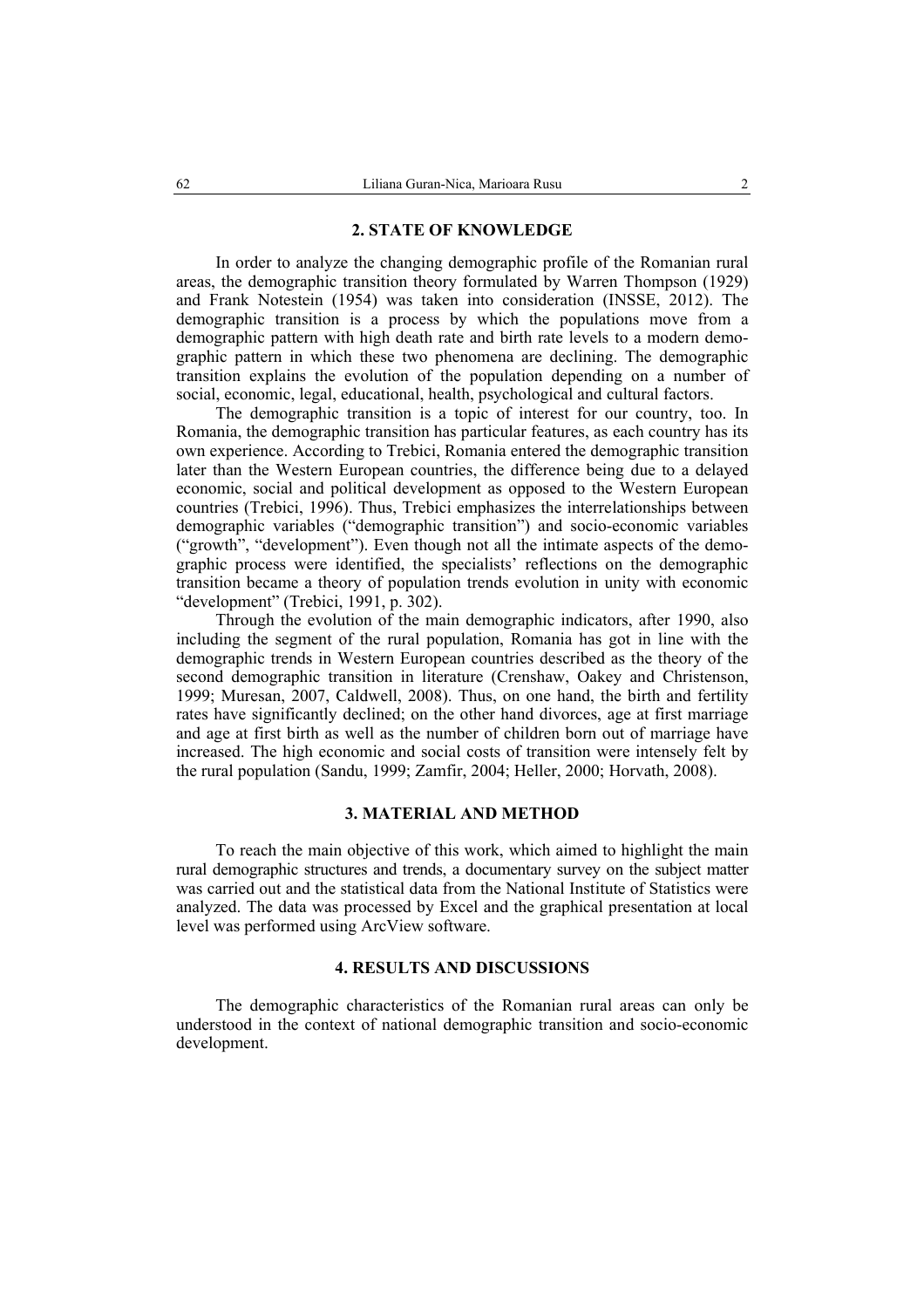#### **2. STATE OF KNOWLEDGE**

In order to analyze the changing demographic profile of the Romanian rural areas, the demographic transition theory formulated by Warren Thompson (1929) and Frank Notestein (1954) was taken into consideration (INSSE, 2012). The demographic transition is a process by which the populations move from a demographic pattern with high death rate and birth rate levels to a modern demographic pattern in which these two phenomena are declining. The demographic transition explains the evolution of the population depending on a number of social, economic, legal, educational, health, psychological and cultural factors.

The demographic transition is a topic of interest for our country, too. In Romania, the demographic transition has particular features, as each country has its own experience. According to Trebici, Romania entered the demographic transition later than the Western European countries, the difference being due to a delayed economic, social and political development as opposed to the Western European countries (Trebici, 1996). Thus, Trebici emphasizes the interrelationships between demographic variables ("demographic transition") and socio-economic variables ("growth", "development"). Even though not all the intimate aspects of the demographic process were identified, the specialists' reflections on the demographic transition became a theory of population trends evolution in unity with economic "development" (Trebici, 1991, p. 302).

Through the evolution of the main demographic indicators, after 1990, also including the segment of the rural population, Romania has got in line with the demographic trends in Western European countries described as the theory of the second demographic transition in literature (Crenshaw, Oakey and Christenson, 1999; Muresan, 2007, Caldwell, 2008). Thus, on one hand, the birth and fertility rates have significantly declined; on the other hand divorces, age at first marriage and age at first birth as well as the number of children born out of marriage have increased. The high economic and social costs of transition were intensely felt by the rural population (Sandu, 1999; Zamfir, 2004; Heller, 2000; Horvath, 2008).

#### **3. MATERIAL AND METHOD**

To reach the main objective of this work, which aimed to highlight the main rural demographic structures and trends, a documentary survey on the subject matter was carried out and the statistical data from the National Institute of Statistics were analyzed. The data was processed by Excel and the graphical presentation at local level was performed using ArcView software.

#### **4. RESULTS AND DISCUSSIONS**

The demographic characteristics of the Romanian rural areas can only be understood in the context of national demographic transition and socio-economic development.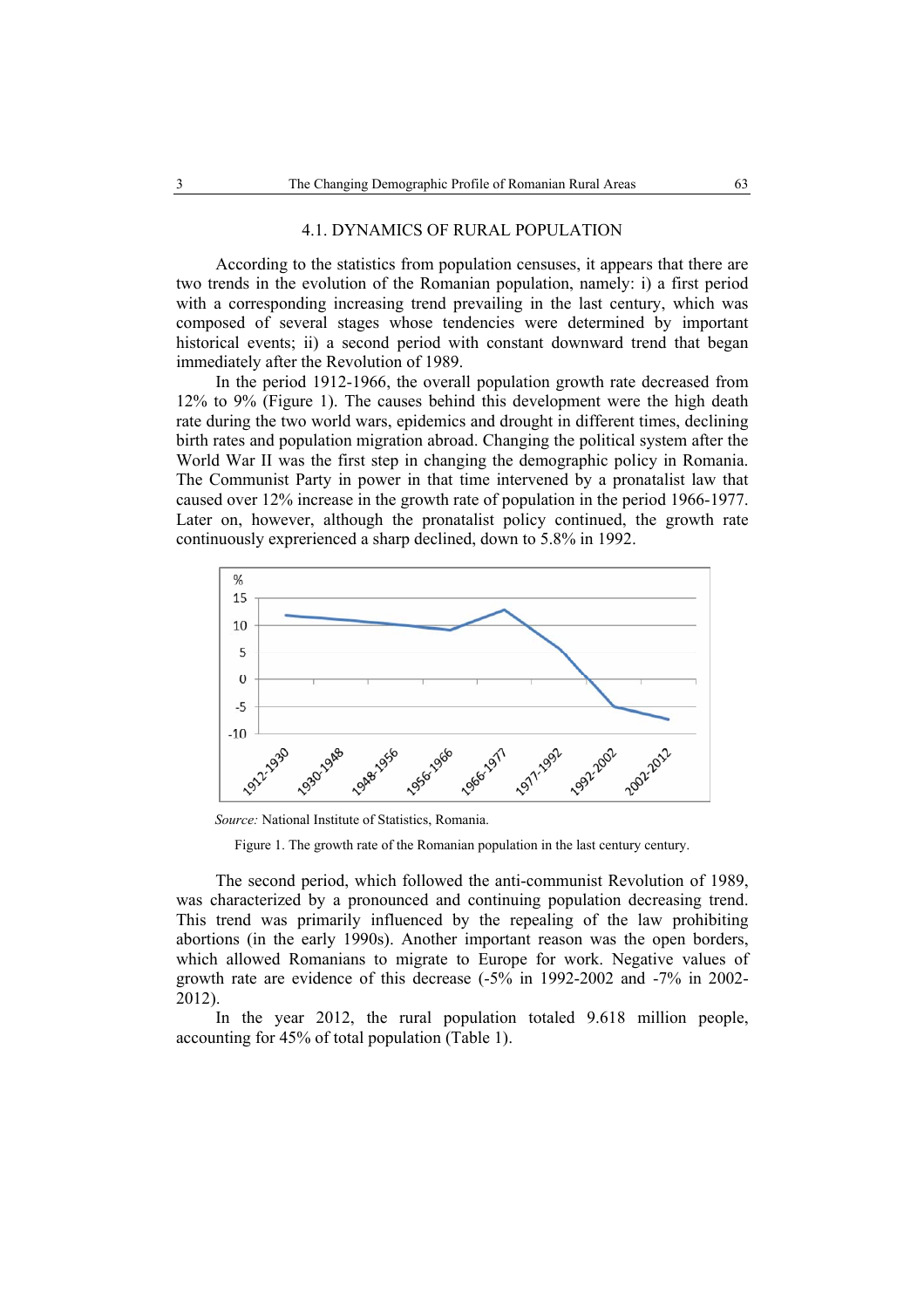#### 4.1. DYNAMICS OF RURAL POPULATION

According to the statistics from population censuses, it appears that there are two trends in the evolution of the Romanian population, namely: i) a first period with a corresponding increasing trend prevailing in the last century, which was composed of several stages whose tendencies were determined by important historical events; ii) a second period with constant downward trend that began immediately after the Revolution of 1989.

In the period 1912-1966, the overall population growth rate decreased from 12% to 9% (Figure 1). The causes behind this development were the high death rate during the two world wars, epidemics and drought in different times, declining birth rates and population migration abroad. Changing the political system after the World War II was the first step in changing the demographic policy in Romania. The Communist Party in power in that time intervened by a pronatalist law that caused over 12% increase in the growth rate of population in the period 1966-1977. Later on, however, although the pronatalist policy continued, the growth rate continuously exprerienced a sharp declined, down to 5.8% in 1992.



 *Source:* National Institute of Statistics, Romania.

Figure 1. The growth rate of the Romanian population in the last century century.

The second period, which followed the anti-communist Revolution of 1989, was characterized by a pronounced and continuing population decreasing trend. This trend was primarily influenced by the repealing of the law prohibiting abortions (in the early 1990s). Another important reason was the open borders, which allowed Romanians to migrate to Europe for work. Negative values of growth rate are evidence of this decrease (-5% in 1992-2002 and -7% in 2002- 2012).

In the year 2012, the rural population totaled 9.618 million people, accounting for 45% of total population (Table 1).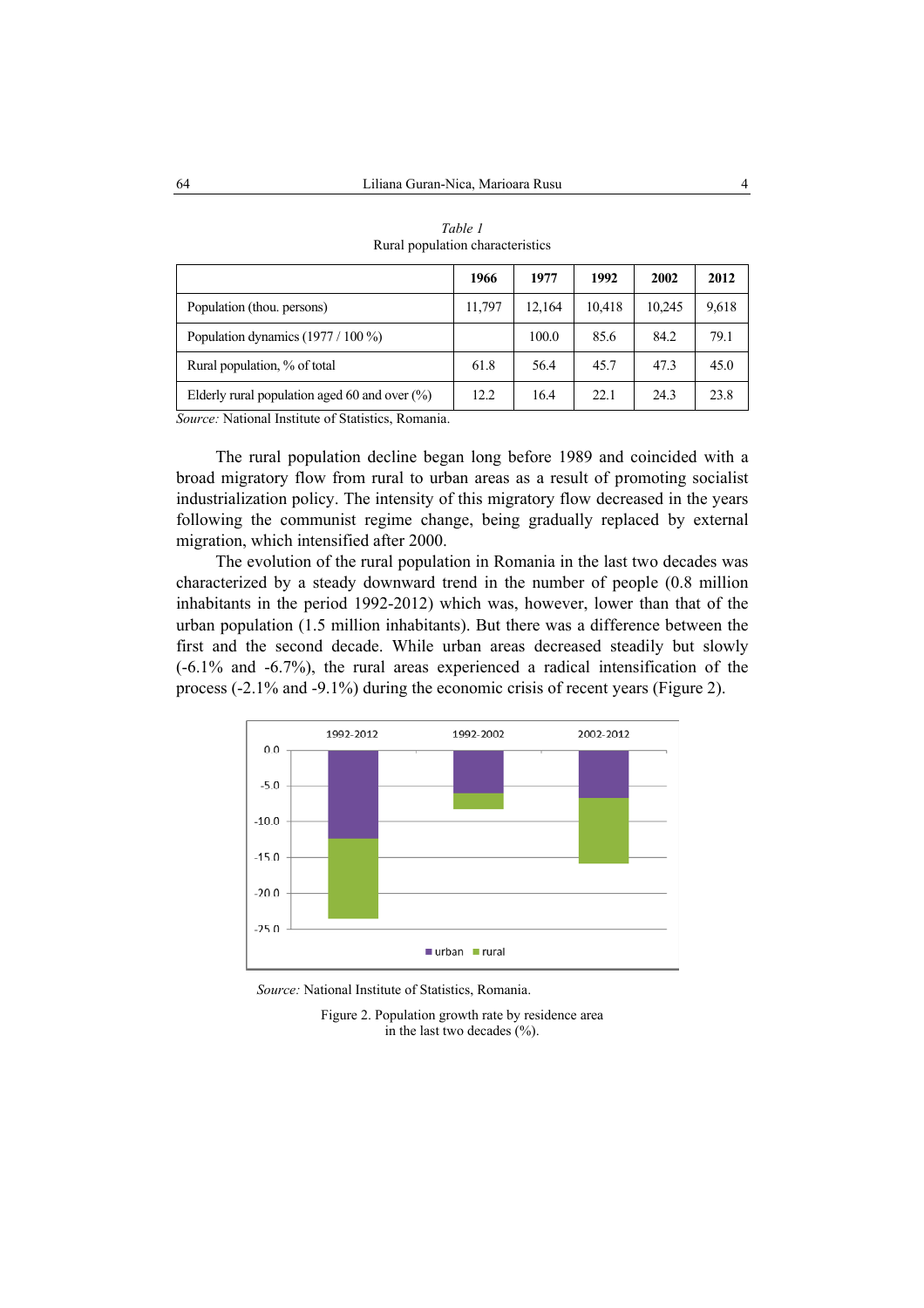|                                                  | 1966   | 1977   | 1992   | 2002   | 2012  |
|--------------------------------------------------|--------|--------|--------|--------|-------|
| Population (thou. persons)                       | 11,797 | 12,164 | 10,418 | 10.245 | 9,618 |
| Population dynamics $(1977 / 100 \%)$            |        | 100.0  | 85.6   | 84.2   | 79.1  |
| Rural population, % of total                     | 61.8   | 56.4   | 45.7   | 47.3   | 45.0  |
| Elderly rural population aged 60 and over $(\%)$ | 12.2   | 16.4   | 22.1   | 24.3   | 23.8  |

| Table 1                          |
|----------------------------------|
| Rural population characteristics |

*Source:* National Institute of Statistics, Romania.

The rural population decline began long before 1989 and coincided with a broad migratory flow from rural to urban areas as a result of promoting socialist industrialization policy. The intensity of this migratory flow decreased in the years following the communist regime change, being gradually replaced by external migration, which intensified after 2000.

The evolution of the rural population in Romania in the last two decades was characterized by a steady downward trend in the number of people (0.8 million inhabitants in the period 1992-2012) which was, however, lower than that of the urban population (1.5 million inhabitants). But there was a difference between the first and the second decade. While urban areas decreased steadily but slowly (-6.1% and -6.7%), the rural areas experienced a radical intensification of the process (-2.1% and -9.1%) during the economic crisis of recent years (Figure 2).



*Source:* National Institute of Statistics, Romania.

Figure 2. Population growth rate by residence area in the last two decades  $(\% )$ .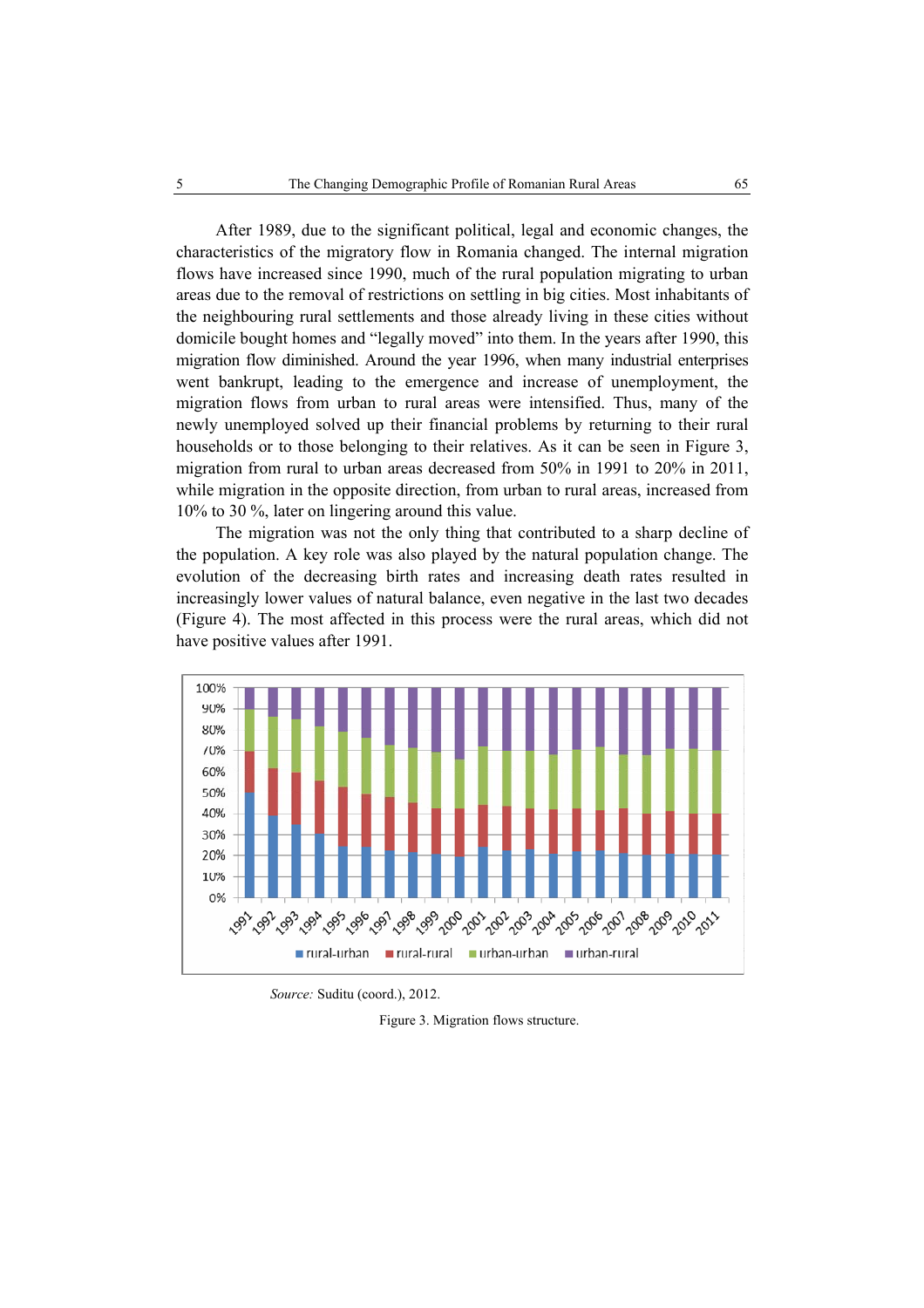After 1989, due to the significant political, legal and economic changes, the characteristics of the migratory flow in Romania changed. The internal migration flows have increased since 1990, much of the rural population migrating to urban areas due to the removal of restrictions on settling in big cities. Most inhabitants of the neighbouring rural settlements and those already living in these cities without domicile bought homes and "legally moved" into them. In the years after 1990, this migration flow diminished. Around the year 1996, when many industrial enterprises went bankrupt, leading to the emergence and increase of unemployment, the migration flows from urban to rural areas were intensified. Thus, many of the newly unemployed solved up their financial problems by returning to their rural households or to those belonging to their relatives. As it can be seen in Figure 3, migration from rural to urban areas decreased from 50% in 1991 to 20% in 2011, while migration in the opposite direction, from urban to rural areas, increased from 10% to 30 %, later on lingering around this value.

The migration was not the only thing that contributed to a sharp decline of the population. A key role was also played by the natural population change. The evolution of the decreasing birth rates and increasing death rates resulted in increasingly lower values of natural balance, even negative in the last two decades (Figure 4). The most affected in this process were the rural areas, which did not have positive values after 1991.



*Source:* Suditu (coord.), 2012.

Figure 3. Migration flows structure.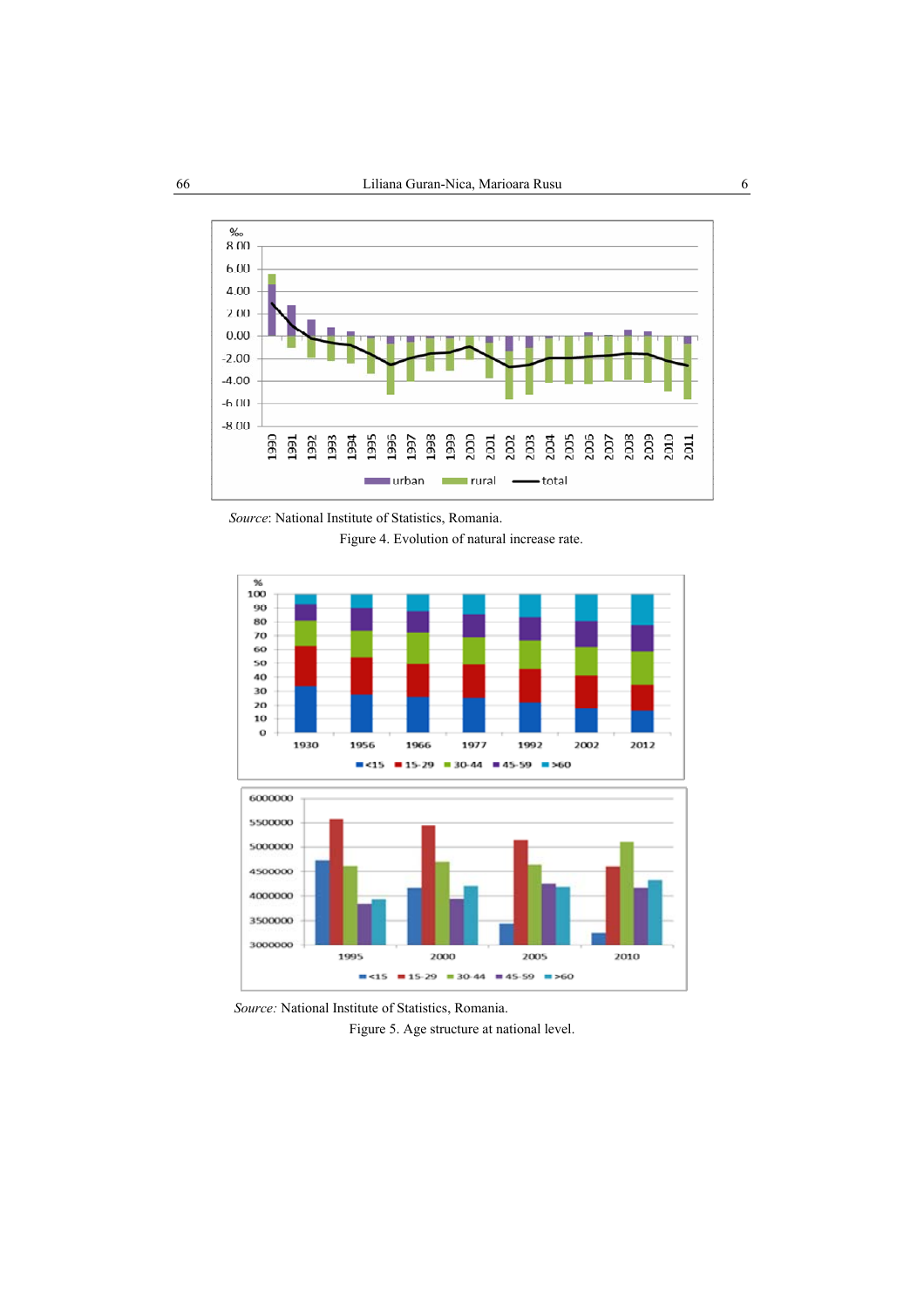

*Source*: National Institute of Statistics, Romania.

Figure 4. Evolution of natural increase rate.



*Source:* National Institute of Statistics, Romania. Figure 5. Age structure at national level.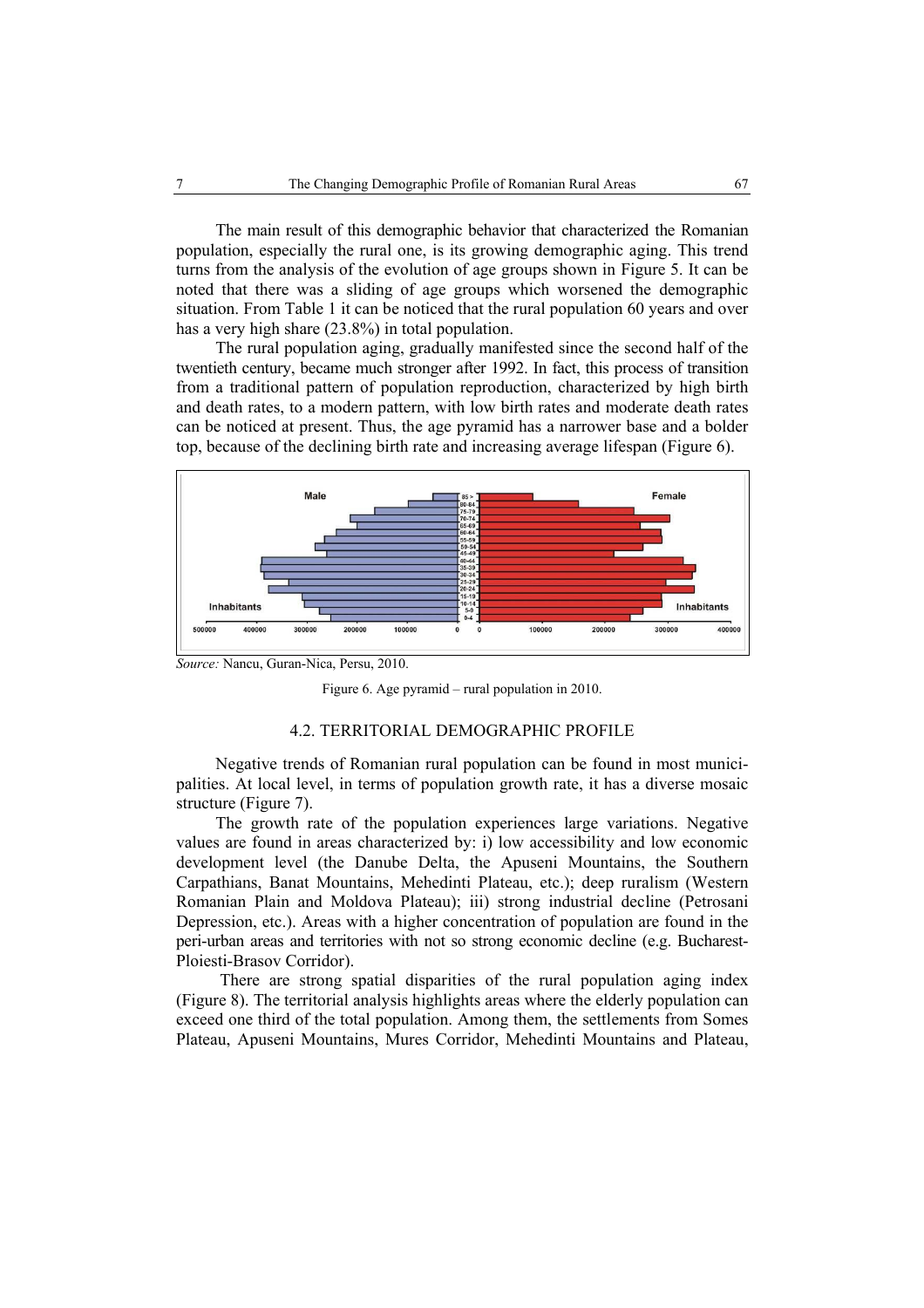The main result of this demographic behavior that characterized the Romanian population, especially the rural one, is its growing demographic aging. This trend turns from the analysis of the evolution of age groups shown in Figure 5. It can be noted that there was a sliding of age groups which worsened the demographic situation. From Table 1 it can be noticed that the rural population 60 years and over has a very high share (23.8%) in total population.

The rural population aging, gradually manifested since the second half of the twentieth century, became much stronger after 1992. In fact, this process of transition from a traditional pattern of population reproduction, characterized by high birth and death rates, to a modern pattern, with low birth rates and moderate death rates can be noticed at present. Thus, the age pyramid has a narrower base and a bolder top, because of the declining birth rate and increasing average lifespan (Figure 6).



*Source:* Nancu, Guran-Nica, Persu, 2010.

Figure 6. Age pyramid – rural population in 2010.

### 4.2. TERRITORIAL DEMOGRAPHIC PROFILE

Negative trends of Romanian rural population can be found in most municipalities. At local level, in terms of population growth rate, it has a diverse mosaic structure (Figure 7).

The growth rate of the population experiences large variations. Negative values are found in areas characterized by: i) low accessibility and low economic development level (the Danube Delta, the Apuseni Mountains, the Southern Carpathians, Banat Mountains, Mehedinti Plateau, etc.); deep ruralism (Western Romanian Plain and Moldova Plateau); iii) strong industrial decline (Petrosani Depression, etc.). Areas with a higher concentration of population are found in the peri-urban areas and territories with not so strong economic decline (e.g. Bucharest-Ploiesti-Brasov Corridor).

 There are strong spatial disparities of the rural population aging index (Figure 8). The territorial analysis highlights areas where the elderly population can exceed one third of the total population. Among them, the settlements from Somes Plateau, Apuseni Mountains, Mures Corridor, Mehedinti Mountains and Plateau,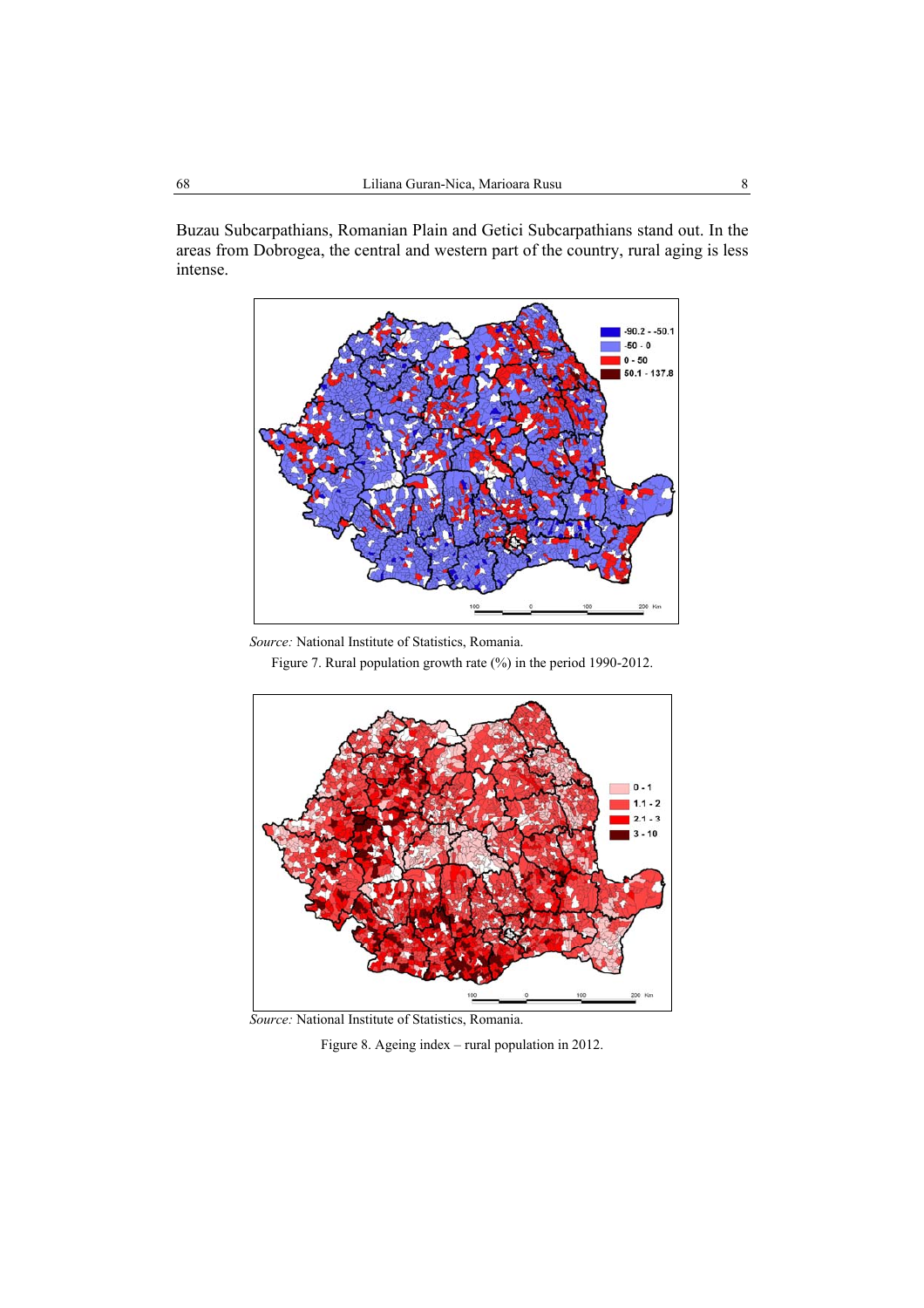Buzau Subcarpathians, Romanian Plain and Getici Subcarpathians stand out. In the areas from Dobrogea, the central and western part of the country, rural aging is less intense.



 *Source:* National Institute of Statistics, Romania.

Figure 7. Rural population growth rate (%) in the period 1990-2012.



 *Source:* National Institute of Statistics, Romania.

Figure 8. Ageing index – rural population in 2012.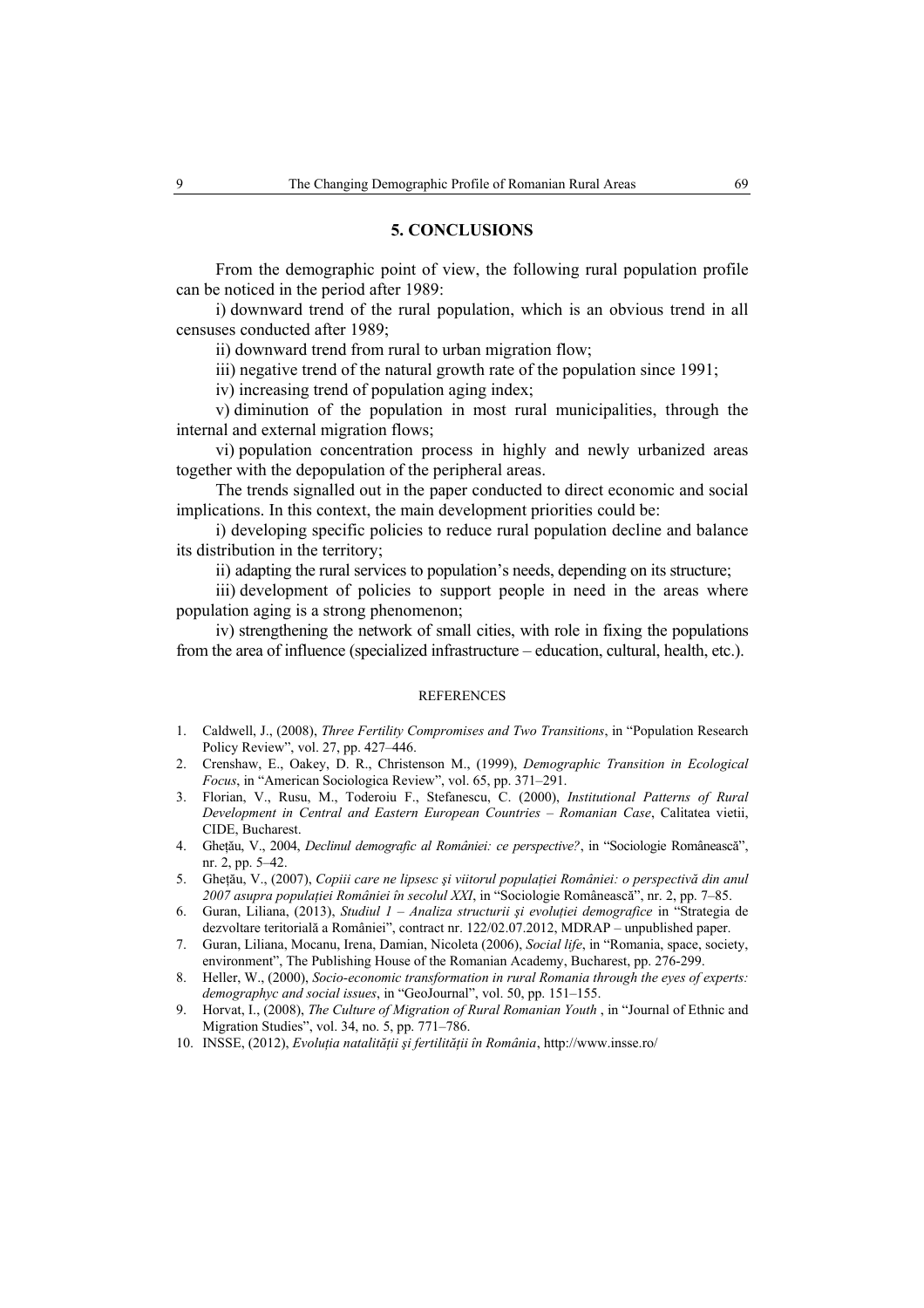**5. CONCLUSIONS** 

From the demographic point of view, the following rural population profile

can be noticed in the period after 1989: i) downward trend of the rural population, which is an obvious trend in all censuses conducted after 1989;

ii) downward trend from rural to urban migration flow;

iii) negative trend of the natural growth rate of the population since 1991;

iv) increasing trend of population aging index;

v) diminution of the population in most rural municipalities, through the internal and external migration flows;

vi) population concentration process in highly and newly urbanized areas together with the depopulation of the peripheral areas.

The trends signalled out in the paper conducted to direct economic and social implications. In this context, the main development priorities could be:

i) developing specific policies to reduce rural population decline and balance its distribution in the territory;

ii) adapting the rural services to population's needs, depending on its structure;

iii) development of policies to support people in need in the areas where population aging is a strong phenomenon;

iv) strengthening the network of small cities, with role in fixing the populations from the area of influence (specialized infrastructure – education, cultural, health, etc.).

#### REFERENCES

- 1. Caldwell, J., (2008), *Three Fertility Compromises and Two Transitions*, in "Population Research Policy Review", vol. 27, pp. 427–446.
- 2. Crenshaw, E., Oakey, D. R., Christenson M., (1999), *Demographic Transition in Ecological Focus*, in "American Sociologica Review", vol. 65, pp. 371–291.
- 3. Florian, V., Rusu, M., Toderoiu F., Stefanescu, C. (2000), *Institutional Patterns of Rural Development in Central and Eastern European Countries – Romanian Case*, Calitatea vietii, CIDE, Bucharest.
- 4. Gheţău, V., 2004, *Declinul demografic al României: ce perspective?*, in "Sociologie Românească", nr. 2, pp. 5–42.
- 5. Gheţău, V., (2007), *Copiii care ne lipsesc şi viitorul populaţiei României: o perspectivă din anul 2007 asupra populaţiei României în secolul XXI*, in "Sociologie Românească", nr. 2, pp. 7–85.
- 6. Guran, Liliana, (2013), *Studiul 1 Analiza structurii şi evoluţiei demografice* in "Strategia de dezvoltare teritorială a României", contract nr. 122/02.07.2012, MDRAP – unpublished paper.
- 7. Guran, Liliana, Mocanu, Irena, Damian, Nicoleta (2006), *Social life*, in "Romania, space, society, environment", The Publishing House of the Romanian Academy, Bucharest, pp. 276-299.
- 8. Heller, W., (2000), *Socio-economic transformation in rural Romania through the eyes of experts: demographyc and social issues*, in "GeoJournal", vol. 50, pp. 151–155.
- 9. Horvat, I., (2008), *The Culture of Migration of Rural Romanian Youth* , in "Journal of Ethnic and Migration Studies", vol. 34, no. 5, pp. 771–786.
- 10. INSSE, (2012), *Evoluţia natalităţii şi fertilităţii în România*, http://www.insse.ro/